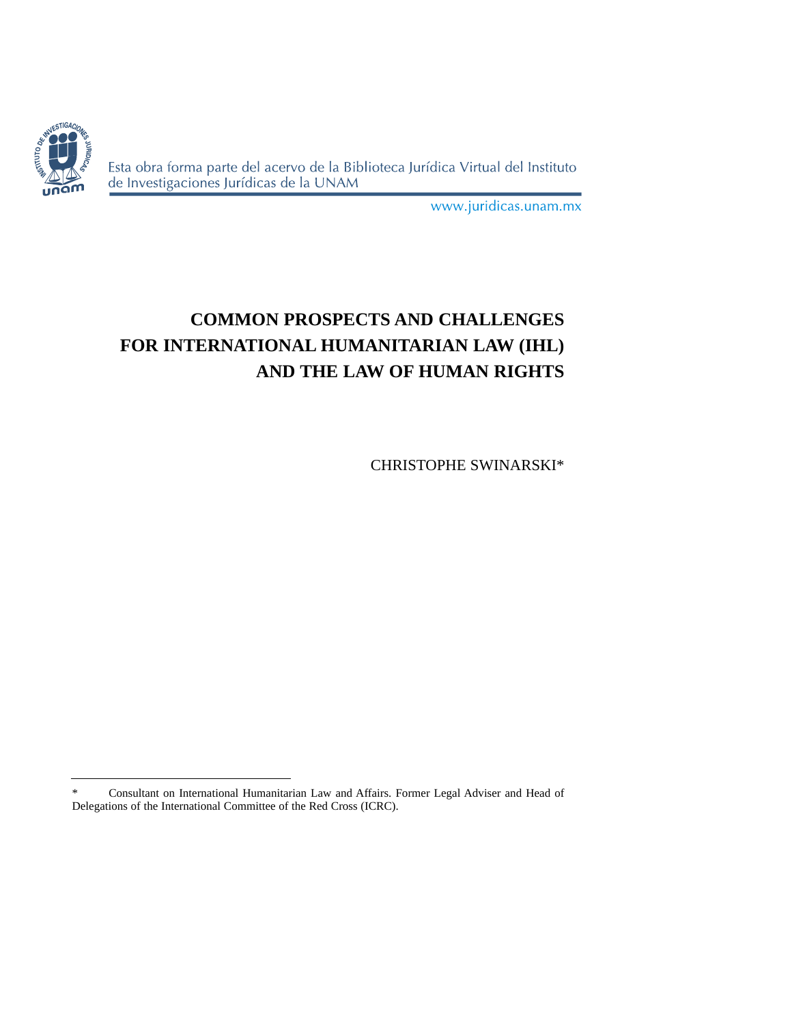

Esta obra forma parte del acervo de la Biblioteca Jurídica Virtual del Instituto de Investigaciones Jurídicas de la UNAM

www.juridicas.unam.mx

# **COMMON PROSPECTS AND CHALLENGES FOR INTERNATIONAL HUMANITARIAN LAW (IHL) AND THE LAW OF HUMAN RIGHTS**

CHRISTOPHE SWINARSKI\*

<sup>\*</sup> Consultant on International Humanitarian Law and Affairs. Former Legal Adviser and Head of Delegations of the International Committee of the Red Cross (ICRC).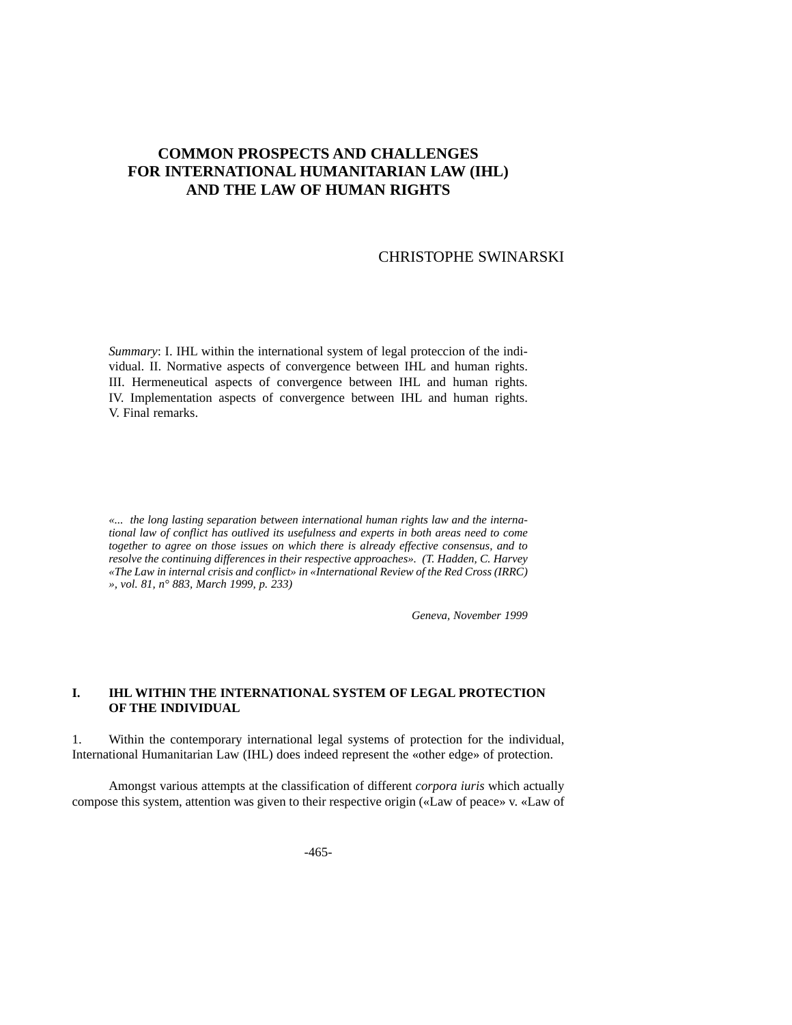## **COMMON PROSPECTS AND CHALLENGES FOR INTERNATIONAL HUMANITARIAN LAW (IHL) AND THE LAW OF HUMAN RIGHTS**

#### CHRISTOPHE SWINARSKI

*Summary*: I. IHL within the international system of legal proteccion of the individual. II. Normative aspects of convergence between IHL and human rights. III. Hermeneutical aspects of convergence between IHL and human rights. IV. Implementation aspects of convergence between IHL and human rights. V. Final remarks.

*«... the long lasting separation between international human rights law and the international law of conflict has outlived its usefulness and experts in both areas need to come together to agree on those issues on which there is already effective consensus, and to resolve the continuing differences in their respective approaches». (T. Hadden, C. Harvey «The Law in internal crisis and conflict» in «International Review of the Red Cross (IRRC) », vol. 81, n° 883, March 1999, p. 233)*

*Geneva, November 1999*

#### **I. IHL WITHIN THE INTERNATIONAL SYSTEM OF LEGAL PROTECTION OF THE INDIVIDUAL**

1. Within the contemporary international legal systems of protection for the individual, International Humanitarian Law (IHL) does indeed represent the «other edge» of protection.

Amongst various attempts at the classification of different *corpora iuris* which actually compose this system, attention was given to their respective origin («Law of peace» v. «Law of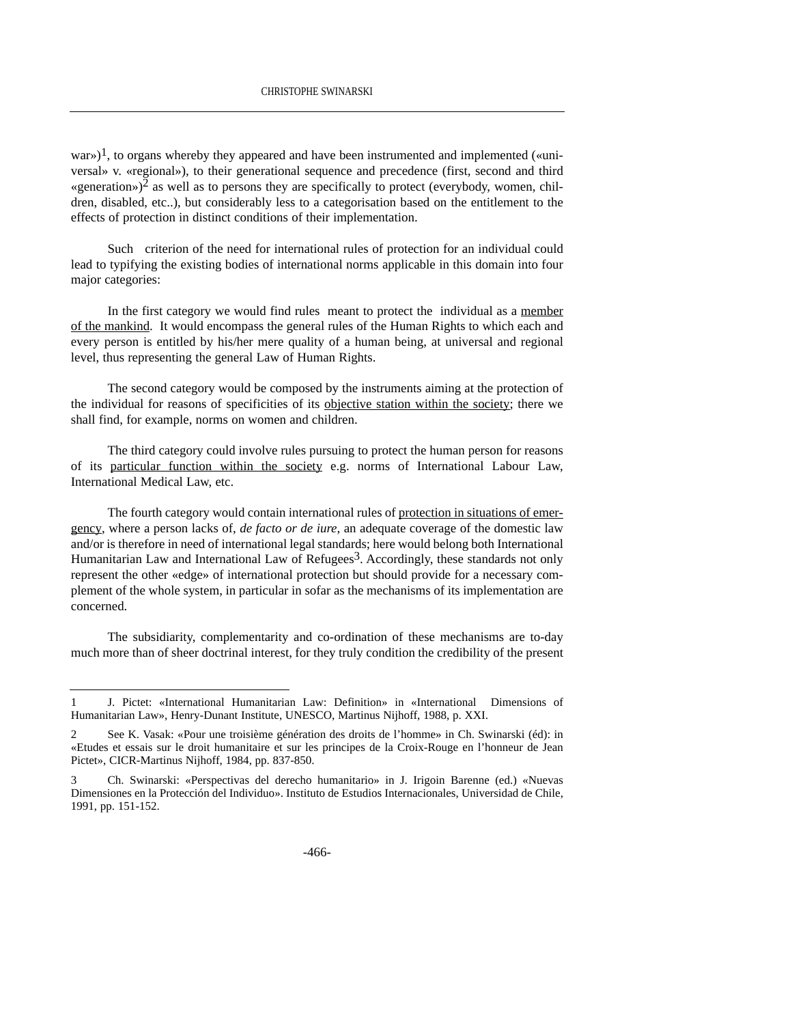war»)<sup>1</sup>, to organs whereby they appeared and have been instrumented and implemented («universal» v. «regional»), to their generational sequence and precedence (first, second and third «generation»)<sup>2</sup> as well as to persons they are specifically to protect (everybody, women, children, disabled, etc..), but considerably less to a categorisation based on the entitlement to the effects of protection in distinct conditions of their implementation.

Such criterion of the need for international rules of protection for an individual could lead to typifying the existing bodies of international norms applicable in this domain into four major categories:

In the first category we would find rules meant to protect the individual as a member of the mankind. It would encompass the general rules of the Human Rights to which each and every person is entitled by his/her mere quality of a human being, at universal and regional level, thus representing the general Law of Human Rights.

The second category would be composed by the instruments aiming at the protection of the individual for reasons of specificities of its objective station within the society; there we shall find, for example, norms on women and children.

The third category could involve rules pursuing to protect the human person for reasons of its particular function within the society e.g. norms of International Labour Law, International Medical Law, etc.

The fourth category would contain international rules of protection in situations of emergency, where a person lacks of, *de facto or de iure*, an adequate coverage of the domestic law and/or is therefore in need of international legal standards; here would belong both International Humanitarian Law and International Law of Refugees<sup>3</sup>. Accordingly, these standards not only represent the other «edge» of international protection but should provide for a necessary complement of the whole system, in particular in sofar as the mechanisms of its implementation are concerned.

The subsidiarity, complementarity and co-ordination of these mechanisms are to-day much more than of sheer doctrinal interest, for they truly condition the credibility of the present

<sup>1</sup> J. Pictet: «International Humanitarian Law: Definition» in «International Dimensions of Humanitarian Law», Henry-Dunant Institute, UNESCO, Martinus Nijhoff, 1988, p. XXI.

<sup>2</sup> See K. Vasak: «Pour une troisième génération des droits de l'homme» in Ch. Swinarski (éd): in «Etudes et essais sur le droit humanitaire et sur les principes de la Croix-Rouge en l'honneur de Jean Pictet», CICR-Martinus Nijhoff, 1984, pp. 837-850.

<sup>3</sup> Ch. Swinarski: «Perspectivas del derecho humanitario» in J. Irigoin Barenne (ed.) «Nuevas Dimensiones en la Protección del Individuo». Instituto de Estudios Internacionales, Universidad de Chile, 1991, pp. 151-152.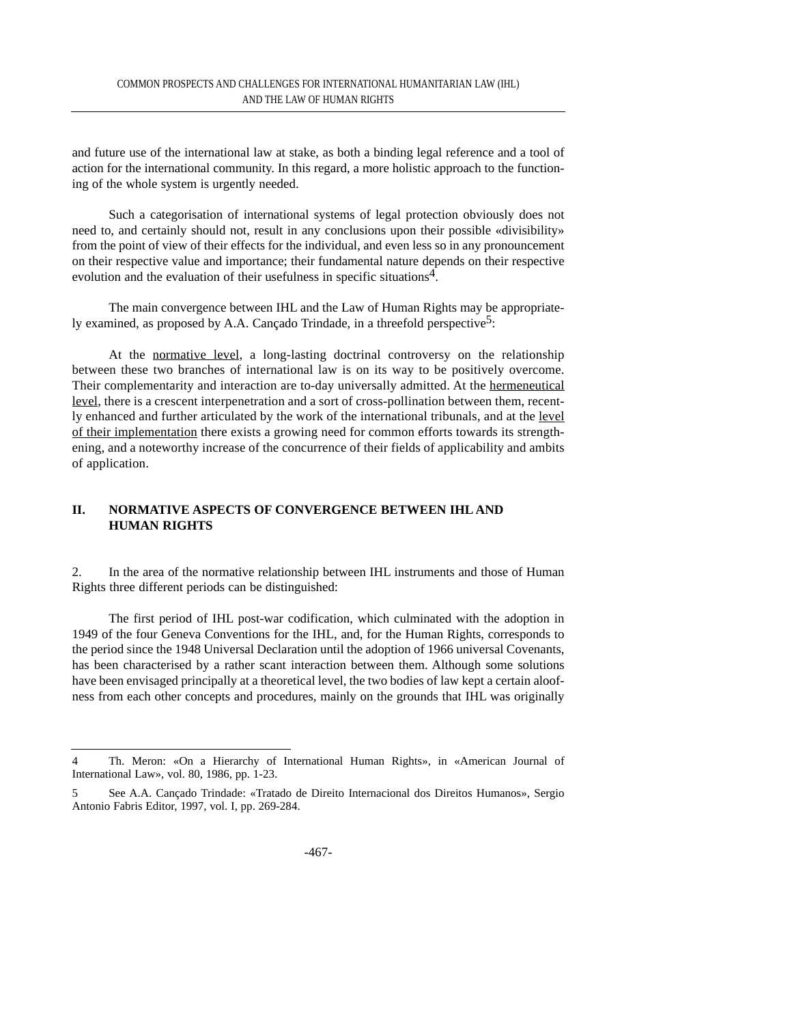and future use of the international law at stake, as both a binding legal reference and a tool of action for the international community. In this regard, a more holistic approach to the functioning of the whole system is urgently needed.

Such a categorisation of international systems of legal protection obviously does not need to, and certainly should not, result in any conclusions upon their possible «divisibility» from the point of view of their effects for the individual, and even less so in any pronouncement on their respective value and importance; their fundamental nature depends on their respective evolution and the evaluation of their usefulness in specific situations<sup>4</sup>.

The main convergence between IHL and the Law of Human Rights may be appropriately examined, as proposed by A.A. Cançado Trindade, in a threefold perspective<sup>5</sup>:

At the normative level, a long-lasting doctrinal controversy on the relationship between these two branches of international law is on its way to be positively overcome. Their complementarity and interaction are to-day universally admitted. At the hermeneutical level, there is a crescent interpenetration and a sort of cross-pollination between them, recently enhanced and further articulated by the work of the international tribunals, and at the level of their implementation there exists a growing need for common efforts towards its strengthening, and a noteworthy increase of the concurrence of their fields of applicability and ambits of application.

#### **II. NORMATIVE ASPECTS OF CONVERGENCE BETWEEN IHL AND HUMAN RIGHTS**

2. In the area of the normative relationship between IHL instruments and those of Human Rights three different periods can be distinguished:

The first period of IHL post-war codification, which culminated with the adoption in 1949 of the four Geneva Conventions for the IHL, and, for the Human Rights, corresponds to the period since the 1948 Universal Declaration until the adoption of 1966 universal Covenants, has been characterised by a rather scant interaction between them. Although some solutions have been envisaged principally at a theoretical level, the two bodies of law kept a certain aloofness from each other concepts and procedures, mainly on the grounds that IHL was originally

<sup>4</sup> Th. Meron: «On a Hierarchy of International Human Rights», in «American Journal of International Law», vol. 80, 1986, pp. 1-23.

<sup>5</sup> See A.A. Cançado Trindade: «Tratado de Direito Internacional dos Direitos Humanos», Sergio Antonio Fabris Editor, 1997, vol. I, pp. 269-284.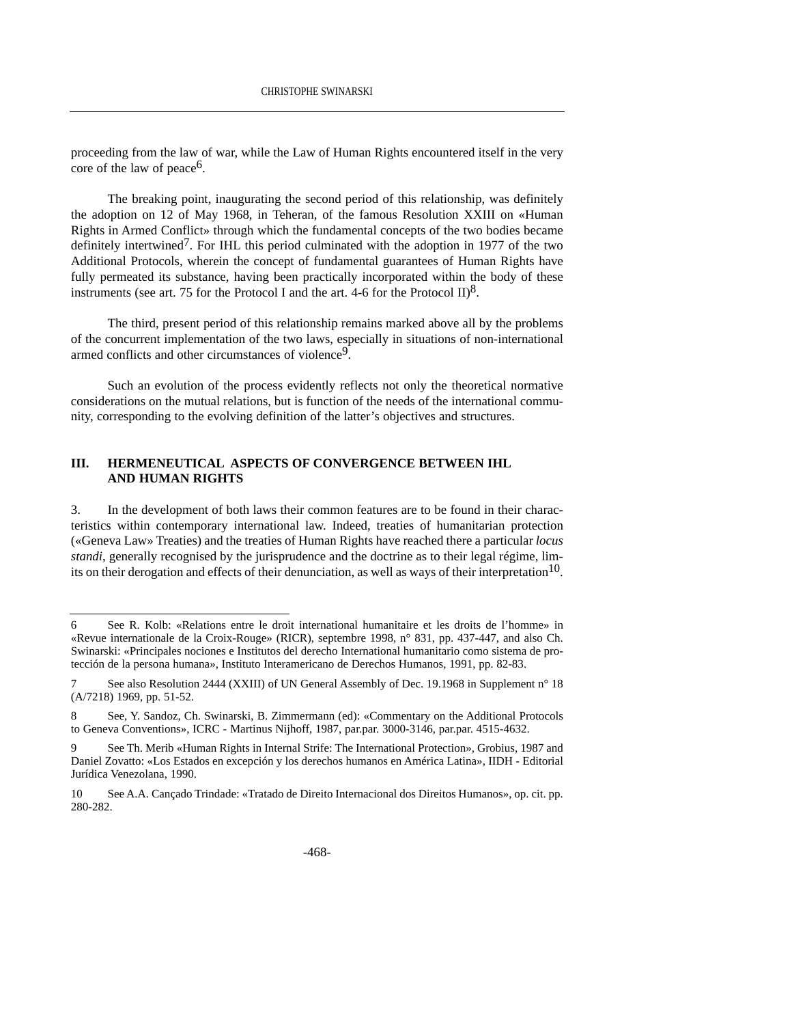proceeding from the law of war, while the Law of Human Rights encountered itself in the very core of the law of peace<sup>6</sup>.

The breaking point, inaugurating the second period of this relationship, was definitely the adoption on 12 of May 1968, in Teheran, of the famous Resolution XXIII on «Human Rights in Armed Conflict» through which the fundamental concepts of the two bodies became definitely intertwined<sup>7</sup>. For IHL this period culminated with the adoption in 1977 of the two Additional Protocols, wherein the concept of fundamental guarantees of Human Rights have fully permeated its substance, having been practically incorporated within the body of these instruments (see art. 75 for the Protocol I and the art. 4-6 for the Protocol II)<sup>8</sup>.

The third, present period of this relationship remains marked above all by the problems of the concurrent implementation of the two laws, especially in situations of non-international armed conflicts and other circumstances of violence<sup>9</sup>.

Such an evolution of the process evidently reflects not only the theoretical normative considerations on the mutual relations, but is function of the needs of the international community, corresponding to the evolving definition of the latter's objectives and structures.

#### **III. HERMENEUTICAL ASPECTS OF CONVERGENCE BETWEEN IHL AND HUMAN RIGHTS**

3. In the development of both laws their common features are to be found in their characteristics within contemporary international law. Indeed, treaties of humanitarian protection («Geneva Law» Treaties) and the treaties of Human Rights have reached there a particular *locus standi*, generally recognised by the jurisprudence and the doctrine as to their legal régime, limits on their derogation and effects of their denunciation, as well as ways of their interpretation<sup>10</sup>.

<sup>6</sup> See R. Kolb: «Relations entre le droit international humanitaire et les droits de l'homme» in «Revue internationale de la Croix-Rouge» (RICR), septembre 1998, n° 831, pp. 437-447, and also Ch. Swinarski: «Principales nociones e Institutos del derecho International humanitario como sistema de protección de la persona humana», Instituto Interamericano de Derechos Humanos, 1991, pp. 82-83.

<sup>7</sup> See also Resolution 2444 (XXIII) of UN General Assembly of Dec. 19.1968 in Supplement n° 18 (A/7218) 1969, pp. 51-52.

<sup>8</sup> See, Y. Sandoz, Ch. Swinarski, B. Zimmermann (ed): «Commentary on the Additional Protocols to Geneva Conventions», ICRC - Martinus Nijhoff, 1987, par.par. 3000-3146, par.par. 4515-4632.

<sup>9</sup> See Th. Merib «Human Rights in Internal Strife: The International Protection», Grobius, 1987 and Daniel Zovatto: «Los Estados en excepción y los derechos humanos en América Latina», IIDH - Editorial Jurídica Venezolana, 1990.

<sup>10</sup> See A.A. Cançado Trindade: «Tratado de Direito Internacional dos Direitos Humanos», op. cit. pp. 280-282.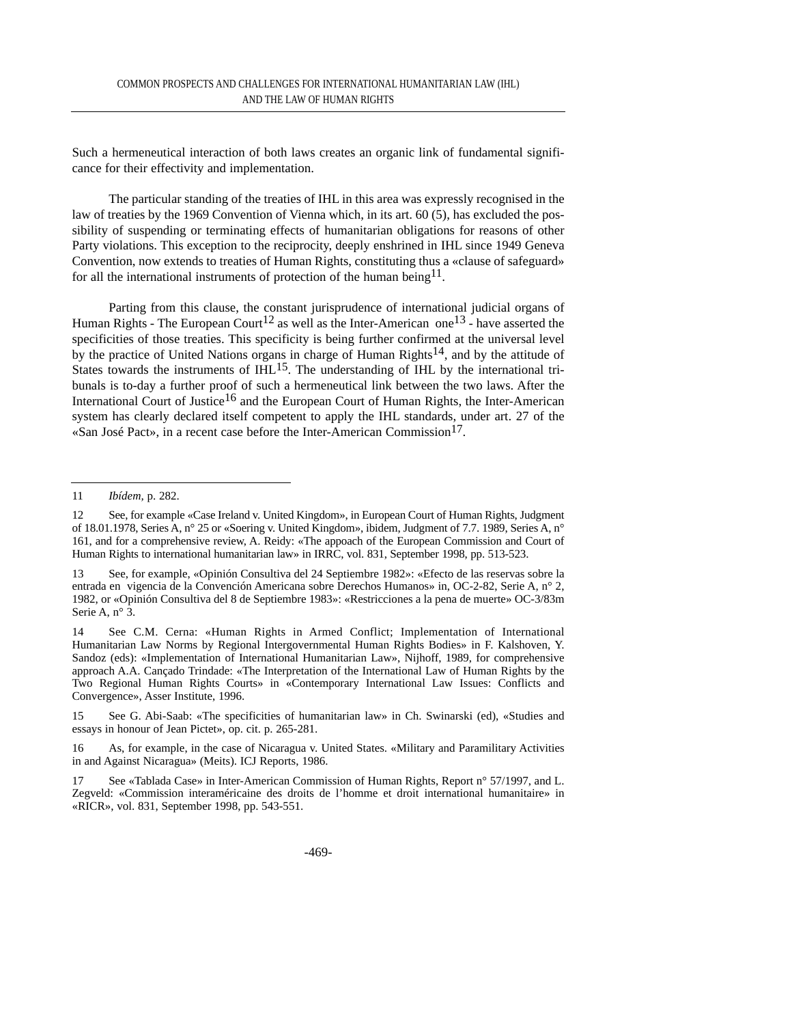Such a hermeneutical interaction of both laws creates an organic link of fundamental significance for their effectivity and implementation.

The particular standing of the treaties of IHL in this area was expressly recognised in the law of treaties by the 1969 Convention of Vienna which, in its art. 60 (5), has excluded the possibility of suspending or terminating effects of humanitarian obligations for reasons of other Party violations. This exception to the reciprocity, deeply enshrined in IHL since 1949 Geneva Convention, now extends to treaties of Human Rights, constituting thus a «clause of safeguard» for all the international instruments of protection of the human being<sup>11</sup>.

Parting from this clause, the constant jurisprudence of international judicial organs of Human Rights - The European Court<sup>12</sup> as well as the Inter-American one<sup>13</sup> - have asserted the specificities of those treaties. This specificity is being further confirmed at the universal level by the practice of United Nations organs in charge of Human Rights<sup>14</sup>, and by the attitude of States towards the instruments of  $IHL$ <sup>15</sup>. The understanding of  $IHL$  by the international tribunals is to-day a further proof of such a hermeneutical link between the two laws. After the International Court of Justice<sup>16</sup> and the European Court of Human Rights, the Inter-American system has clearly declared itself competent to apply the IHL standards, under art. 27 of the «San José Pact», in a recent case before the Inter-American Commission<sup>17</sup>.

15 See G. Abi-Saab: «The specificities of humanitarian law» in Ch. Swinarski (ed), «Studies and essays in honour of Jean Pictet», op. cit. p. 265-281.

<sup>11</sup> *Ibídem,* p. 282.

<sup>12</sup> See, for example «Case Ireland v. United Kingdom», in European Court of Human Rights, Judgment of 18.01.1978, Series A, n° 25 or «Soering v. United Kingdom», ibidem, Judgment of 7.7. 1989, Series A, n° 161, and for a comprehensive review, A. Reidy: «The appoach of the European Commission and Court of Human Rights to international humanitarian law» in IRRC, vol. 831, September 1998, pp. 513-523.

<sup>13</sup> See, for example, «Opinión Consultiva del 24 Septiembre 1982»: «Efecto de las reservas sobre la entrada en vigencia de la Convención Americana sobre Derechos Humanos» in, OC-2-82, Serie A, n° 2, 1982, or «Opinión Consultiva del 8 de Septiembre 1983»: «Restricciones a la pena de muerte» OC-3/83m Serie A, n° 3.

<sup>14</sup> See C.M. Cerna: «Human Rights in Armed Conflict; Implementation of International Humanitarian Law Norms by Regional Intergovernmental Human Rights Bodies» in F. Kalshoven, Y. Sandoz (eds): «Implementation of International Humanitarian Law», Nijhoff, 1989, for comprehensive approach A.A. Cançado Trindade: «The Interpretation of the International Law of Human Rights by the Two Regional Human Rights Courts» in «Contemporary International Law Issues: Conflicts and Convergence», Asser Institute, 1996.

<sup>16</sup> As, for example, in the case of Nicaragua v. United States. «Military and Paramilitary Activities in and Against Nicaragua» (Meits). ICJ Reports, 1986.

<sup>17</sup> See «Tablada Case» in Inter-American Commission of Human Rights, Report n° 57/1997, and L. Zegveld: «Commission interaméricaine des droits de l'homme et droit international humanitaire» in «RICR», vol. 831, September 1998, pp. 543-551.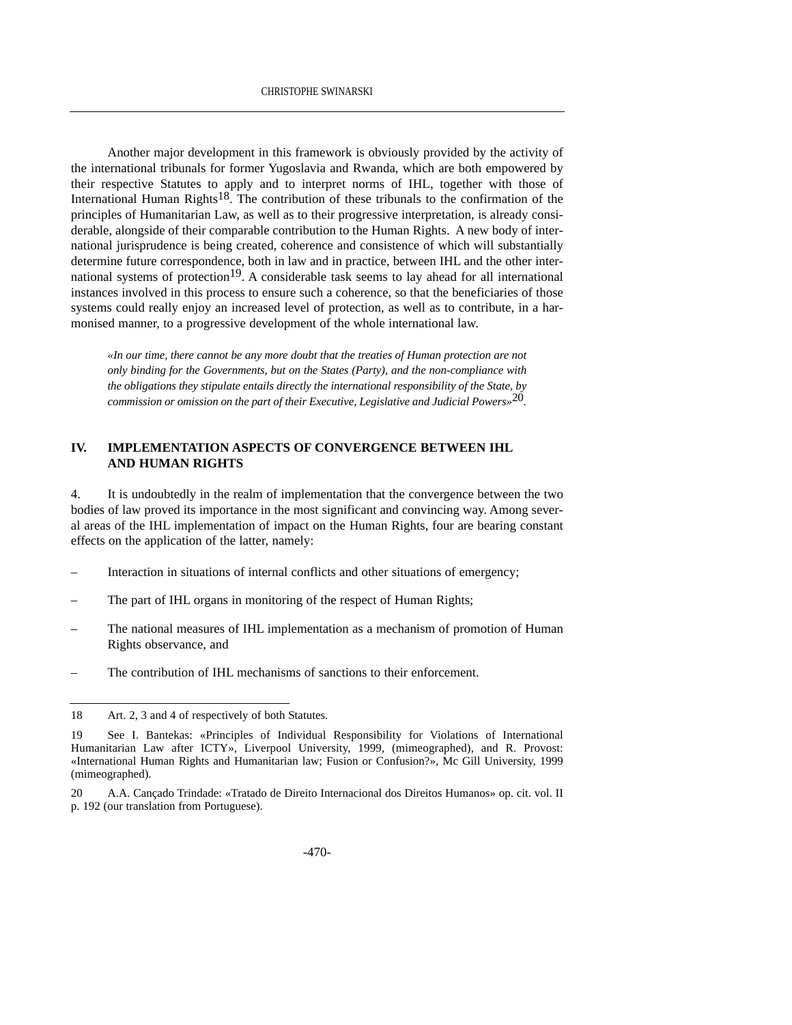Another major development in this framework is obviously provided by the activity of the international tribunals for former Yugoslavia and Rwanda, which are both empowered by their respective Statutes to apply and to interpret norms of IHL, together with those of International Human Rights<sup>18</sup>. The contribution of these tribunals to the confirmation of the principles of Humanitarian Law, as well as to their progressive interpretation, is already considerable, alongside of their comparable contribution to the Human Rights. A new body of international jurisprudence is being created, coherence and consistence of which will substantially determine future correspondence, both in law and in practice, between IHL and the other international systems of protection<sup>19</sup>. A considerable task seems to lay ahead for all international instances involved in this process to ensure such a coherence, so that the beneficiaries of those systems could really enjoy an increased level of protection, as well as to contribute, in a harmonised manner, to a progressive development of the whole international law.

*«In our time, there cannot be any more doubt that the treaties of Human protection are not only binding for the Governments, but on the States (Party), and the non-compliance with the obligations they stipulate entails directly the international responsibility of the State, by commission or omission on the part of their Executive, Legislative and Judicial Powers»*20*.*

#### **IV. IMPLEMENTATION ASPECTS OF CONVERGENCE BETWEEN IHL AND HUMAN RIGHTS**

4. It is undoubtedly in the realm of implementation that the convergence between the two bodies of law proved its importance in the most significant and convincing way. Among several areas of the IHL implementation of impact on the Human Rights, four are bearing constant effects on the application of the latter, namely:

- Interaction in situations of internal conflicts and other situations of emergency;
- The part of IHL organs in monitoring of the respect of Human Rights;
- The national measures of IHL implementation as a mechanism of promotion of Human Rights observance, and
- The contribution of IHL mechanisms of sanctions to their enforcement.

20 A.A. Cançado Trindade: «Tratado de Direito Internacional dos Direitos Humanos» op. cit. vol. II p. 192 (our translation from Portuguese).

<sup>18</sup> Art. 2, 3 and 4 of respectively of both Statutes.

<sup>19</sup> See I. Bantekas: «Principles of Individual Responsibility for Violations of International Humanitarian Law after ICTY», Liverpool University, 1999, (mimeographed), and R. Provost: «International Human Rights and Humanitarian law; Fusion or Confusion?», Mc Gill University, 1999 (mimeographed).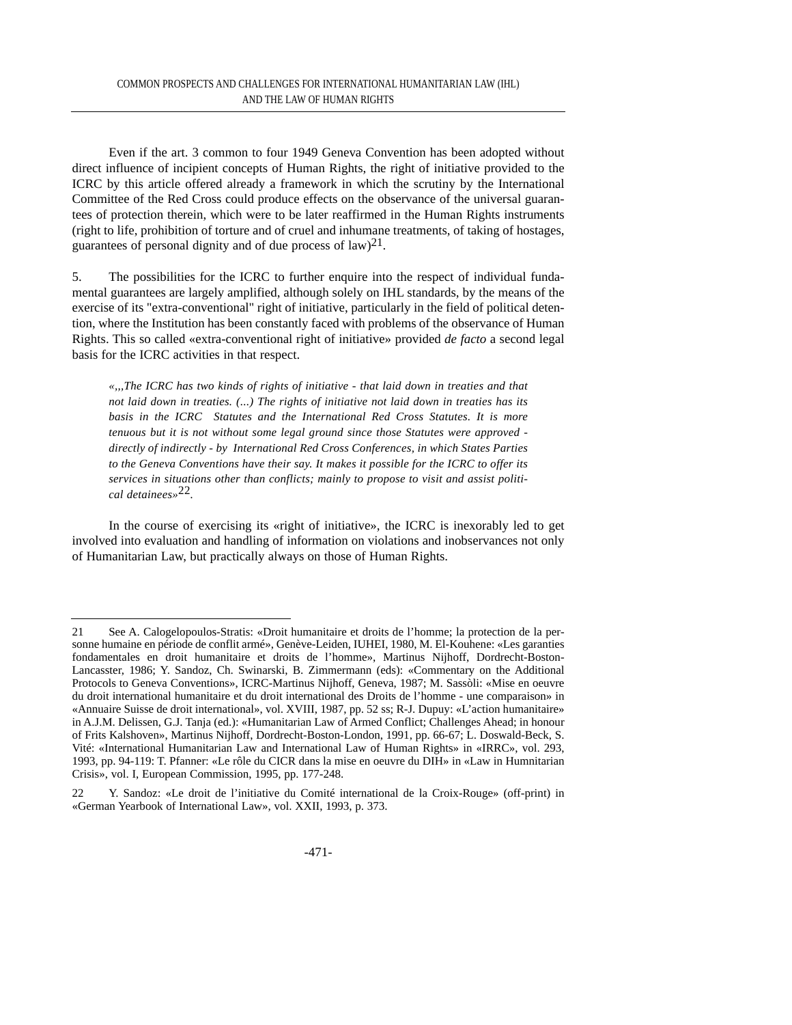Even if the art. 3 common to four 1949 Geneva Convention has been adopted without direct influence of incipient concepts of Human Rights, the right of initiative provided to the ICRC by this article offered already a framework in which the scrutiny by the International Committee of the Red Cross could produce effects on the observance of the universal guarantees of protection therein, which were to be later reaffirmed in the Human Rights instruments (right to life, prohibition of torture and of cruel and inhumane treatments, of taking of hostages, guarantees of personal dignity and of due process of  $law^{21}$ .

5. The possibilities for the ICRC to further enquire into the respect of individual fundamental guarantees are largely amplified, although solely on IHL standards, by the means of the exercise of its "extra-conventional" right of initiative, particularly in the field of political detention, where the Institution has been constantly faced with problems of the observance of Human Rights. This so called «extra-conventional right of initiative» provided *de facto* a second legal basis for the ICRC activities in that respect.

*«,,,The ICRC has two kinds of rights of initiative - that laid down in treaties and that not laid down in treaties. (...) The rights of initiative not laid down in treaties has its basis in the ICRC Statutes and the International Red Cross Statutes. It is more tenuous but it is not without some legal ground since those Statutes were approved directly of indirectly - by International Red Cross Conferences, in which States Parties to the Geneva Conventions have their say. It makes it possible for the ICRC to offer its services in situations other than conflicts; mainly to propose to visit and assist political detainees»*22*.*

In the course of exercising its «right of initiative», the ICRC is inexorably led to get involved into evaluation and handling of information on violations and inobservances not only of Humanitarian Law, but practically always on those of Human Rights.

<sup>21</sup> See A. Calogelopoulos-Stratis: «Droit humanitaire et droits de l'homme; la protection de la personne humaine en période de conflit armé», Genève-Leiden, IUHEI, 1980, M. El-Kouhene: «Les garanties fondamentales en droit humanitaire et droits de l'homme», Martinus Nijhoff, Dordrecht-Boston-Lancasster, 1986; Y. Sandoz, Ch. Swinarski, B. Zimmermann (eds): «Commentary on the Additional Protocols to Geneva Conventions», ICRC-Martinus Nijhoff, Geneva, 1987; M. Sassòli: «Mise en oeuvre du droit international humanitaire et du droit international des Droits de l'homme - une comparaison» in «Annuaire Suisse de droit international», vol. XVIII, 1987, pp. 52 ss; R-J. Dupuy: «L'action humanitaire» in A.J.M. Delissen, G.J. Tanja (ed.): «Humanitarian Law of Armed Conflict; Challenges Ahead; in honour of Frits Kalshoven», Martinus Nijhoff, Dordrecht-Boston-London, 1991, pp. 66-67; L. Doswald-Beck, S. Vité: «International Humanitarian Law and International Law of Human Rights» in «IRRC», vol. 293, 1993, pp. 94-119: T. Pfanner: «Le rôle du CICR dans la mise en oeuvre du DIH» in «Law in Humnitarian Crisis», vol. I, European Commission, 1995, pp. 177-248.

<sup>22</sup> Y. Sandoz: «Le droit de l'initiative du Comité international de la Croix-Rouge» (off-print) in «German Yearbook of International Law», vol. XXII, 1993, p. 373.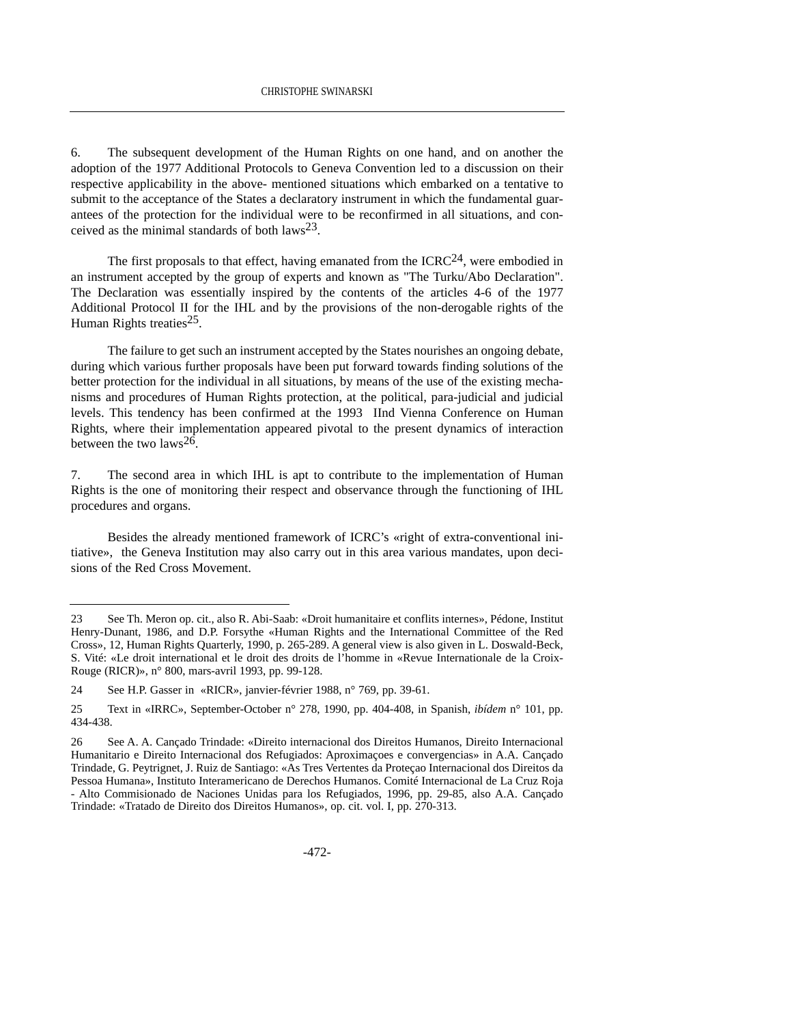6. The subsequent development of the Human Rights on one hand, and on another the adoption of the 1977 Additional Protocols to Geneva Convention led to a discussion on their respective applicability in the above- mentioned situations which embarked on a tentative to submit to the acceptance of the States a declaratory instrument in which the fundamental guarantees of the protection for the individual were to be reconfirmed in all situations, and conceived as the minimal standards of both laws<sup>23</sup>.

The first proposals to that effect, having emanated from the  $ICRC<sup>24</sup>$ , were embodied in an instrument accepted by the group of experts and known as "The Turku/Abo Declaration". The Declaration was essentially inspired by the contents of the articles 4-6 of the 1977 Additional Protocol II for the IHL and by the provisions of the non-derogable rights of the Human Rights treaties<sup>25</sup>.

The failure to get such an instrument accepted by the States nourishes an ongoing debate, during which various further proposals have been put forward towards finding solutions of the better protection for the individual in all situations, by means of the use of the existing mechanisms and procedures of Human Rights protection, at the political, para-judicial and judicial levels. This tendency has been confirmed at the 1993 IInd Vienna Conference on Human Rights, where their implementation appeared pivotal to the present dynamics of interaction between the two laws  $26$ .

7. The second area in which IHL is apt to contribute to the implementation of Human Rights is the one of monitoring their respect and observance through the functioning of IHL procedures and organs.

Besides the already mentioned framework of ICRC's «right of extra-conventional initiative», the Geneva Institution may also carry out in this area various mandates, upon decisions of the Red Cross Movement.

<sup>23</sup> See Th. Meron op. cit., also R. Abi-Saab: «Droit humanitaire et conflits internes», Pédone, Institut Henry-Dunant, 1986, and D.P. Forsythe «Human Rights and the International Committee of the Red Cross», 12, Human Rights Quarterly, 1990, p. 265-289. A general view is also given in L. Doswald-Beck, S. Vité: «Le droit international et le droit des droits de l'homme in «Revue Internationale de la Croix-Rouge (RICR)», n° 800, mars-avril 1993, pp. 99-128.

<sup>24</sup> See H.P. Gasser in «RICR», janvier-février 1988, n° 769, pp. 39-61.

<sup>25</sup> Text in «IRRC», September-October n° 278, 1990, pp. 404-408, in Spanish, *ibídem* n° 101, pp. 434-438.

<sup>26</sup> See A. A. Cançado Trindade: «Direito internacional dos Direitos Humanos, Direito Internacional Humanitario e Direito Internacional dos Refugiados: Aproximaçoes e convergencias» in A.A. Cançado Trindade, G. Peytrignet, J. Ruiz de Santiago: «As Tres Vertentes da Proteçao Internacional dos Direitos da Pessoa Humana», Instituto Interamericano de Derechos Humanos. Comité Internacional de La Cruz Roja - Alto Commisionado de Naciones Unidas para los Refugiados, 1996, pp. 29-85, also A.A. Cançado Trindade: «Tratado de Direito dos Direitos Humanos», op. cit. vol. I, pp. 270-313.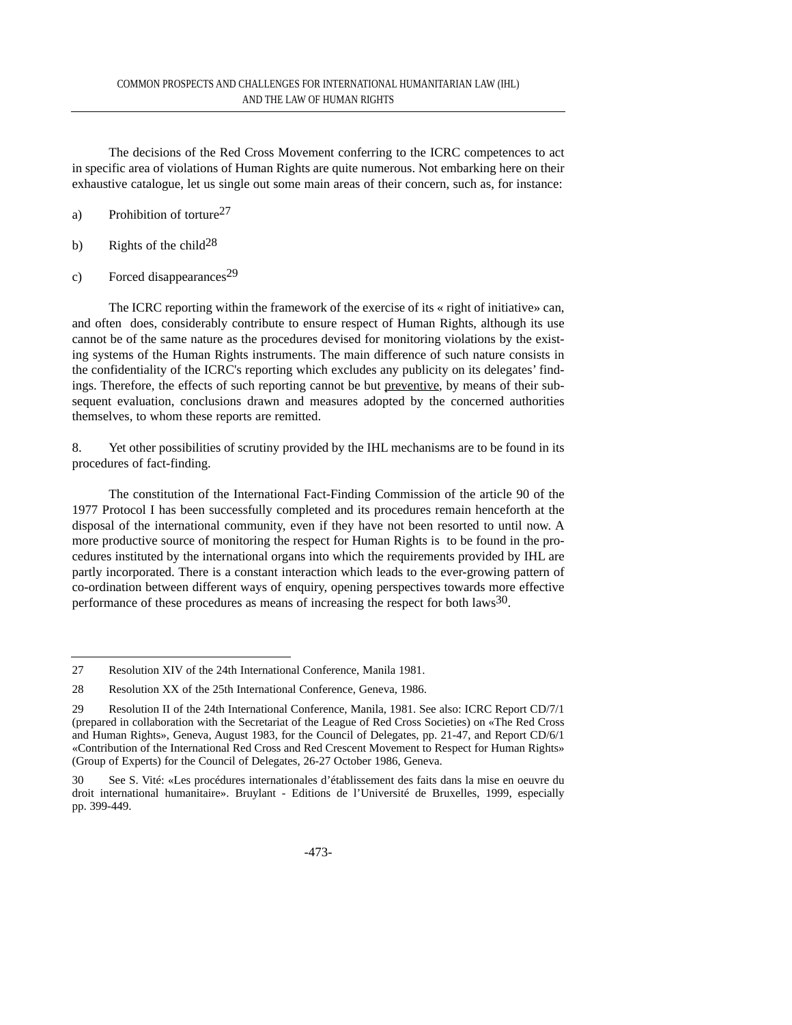The decisions of the Red Cross Movement conferring to the ICRC competences to act in specific area of violations of Human Rights are quite numerous. Not embarking here on their exhaustive catalogue, let us single out some main areas of their concern, such as, for instance:

- a) Prohibition of torture27
- b) Rights of the child<sup>28</sup>
- c) Forced disappearances<sup>29</sup>

The ICRC reporting within the framework of the exercise of its « right of initiative» can, and often does, considerably contribute to ensure respect of Human Rights, although its use cannot be of the same nature as the procedures devised for monitoring violations by the existing systems of the Human Rights instruments. The main difference of such nature consists in the confidentiality of the ICRC's reporting which excludes any publicity on its delegates' findings. Therefore, the effects of such reporting cannot be but preventive, by means of their subsequent evaluation, conclusions drawn and measures adopted by the concerned authorities themselves, to whom these reports are remitted.

8. Yet other possibilities of scrutiny provided by the IHL mechanisms are to be found in its procedures of fact-finding.

The constitution of the International Fact-Finding Commission of the article 90 of the 1977 Protocol I has been successfully completed and its procedures remain henceforth at the disposal of the international community, even if they have not been resorted to until now. A more productive source of monitoring the respect for Human Rights is to be found in the procedures instituted by the international organs into which the requirements provided by IHL are partly incorporated. There is a constant interaction which leads to the ever-growing pattern of co-ordination between different ways of enquiry, opening perspectives towards more effective performance of these procedures as means of increasing the respect for both laws $30$ .

<sup>27</sup> Resolution XIV of the 24th International Conference, Manila 1981.

<sup>28</sup> Resolution XX of the 25th International Conference, Geneva, 1986.

<sup>29</sup> Resolution II of the 24th International Conference, Manila, 1981. See also: ICRC Report CD/7/1 (prepared in collaboration with the Secretariat of the League of Red Cross Societies) on «The Red Cross and Human Rights», Geneva, August 1983, for the Council of Delegates, pp. 21-47, and Report CD/6/1 «Contribution of the International Red Cross and Red Crescent Movement to Respect for Human Rights» (Group of Experts) for the Council of Delegates, 26-27 October 1986, Geneva.

<sup>30</sup> See S. Vité: «Les procédures internationales d'établissement des faits dans la mise en oeuvre du droit international humanitaire». Bruylant - Editions de l'Université de Bruxelles, 1999, especially pp. 399-449.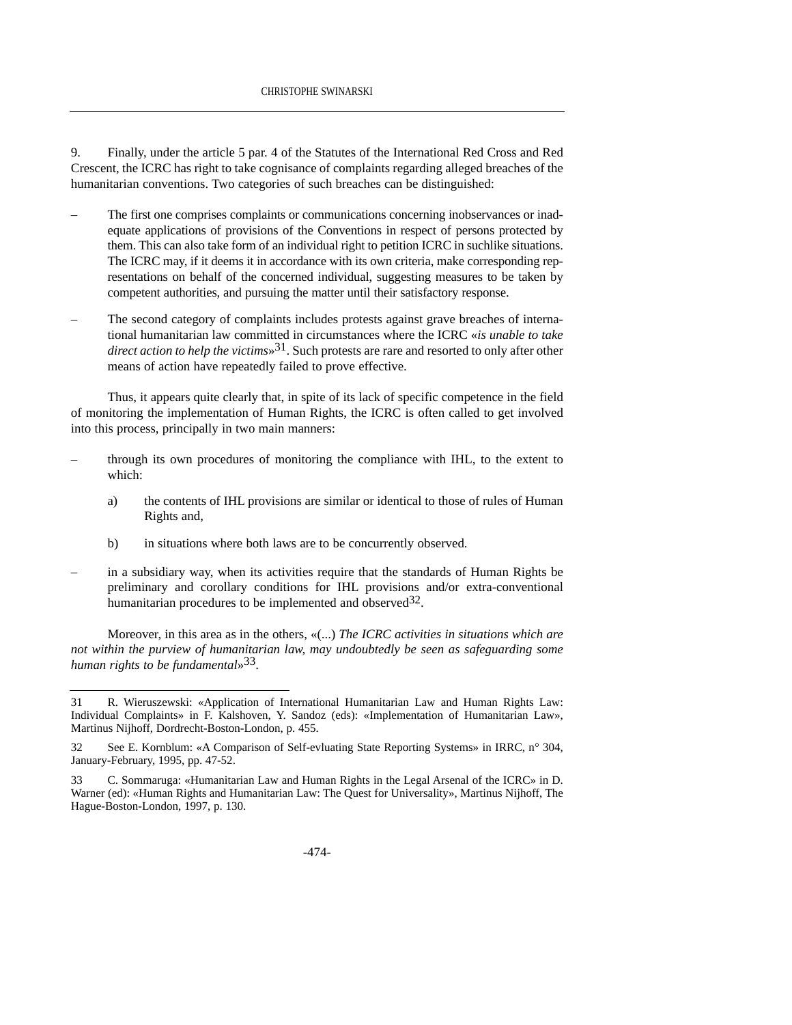9. Finally, under the article 5 par. 4 of the Statutes of the International Red Cross and Red Crescent, the ICRC has right to take cognisance of complaints regarding alleged breaches of the humanitarian conventions. Two categories of such breaches can be distinguished:

- The first one comprises complaints or communications concerning inobservances or inadequate applications of provisions of the Conventions in respect of persons protected by them. This can also take form of an individual right to petition ICRC in suchlike situations. The ICRC may, if it deems it in accordance with its own criteria, make corresponding representations on behalf of the concerned individual, suggesting measures to be taken by competent authorities, and pursuing the matter until their satisfactory response.
- The second category of complaints includes protests against grave breaches of international humanitarian law committed in circumstances where the ICRC «*is unable to take direct action to help the victims*»31. Such protests are rare and resorted to only after other means of action have repeatedly failed to prove effective.

Thus, it appears quite clearly that, in spite of its lack of specific competence in the field of monitoring the implementation of Human Rights, the ICRC is often called to get involved into this process, principally in two main manners:

- through its own procedures of monitoring the compliance with IHL, to the extent to which:
	- a) the contents of IHL provisions are similar or identical to those of rules of Human Rights and,
	- b) in situations where both laws are to be concurrently observed.
- in a subsidiary way, when its activities require that the standards of Human Rights be preliminary and corollary conditions for IHL provisions and/or extra-conventional humanitarian procedures to be implemented and observed  $32$ .

Moreover, in this area as in the others, «(...) *The ICRC activities in situations which are not within the purview of humanitarian law, may undoubtedly be seen as safeguarding some human rights to be fundamental*»33.

<sup>31</sup> R. Wieruszewski: «Application of International Humanitarian Law and Human Rights Law: Individual Complaints» in F. Kalshoven, Y. Sandoz (eds): «Implementation of Humanitarian Law», Martinus Nijhoff, Dordrecht-Boston-London, p. 455.

<sup>32</sup> See E. Kornblum: «A Comparison of Self-evluating State Reporting Systems» in IRRC, n° 304, January-February, 1995, pp. 47-52.

<sup>33</sup> C. Sommaruga: «Humanitarian Law and Human Rights in the Legal Arsenal of the ICRC» in D. Warner (ed): «Human Rights and Humanitarian Law: The Quest for Universality», Martinus Nijhoff, The Hague-Boston-London, 1997, p. 130.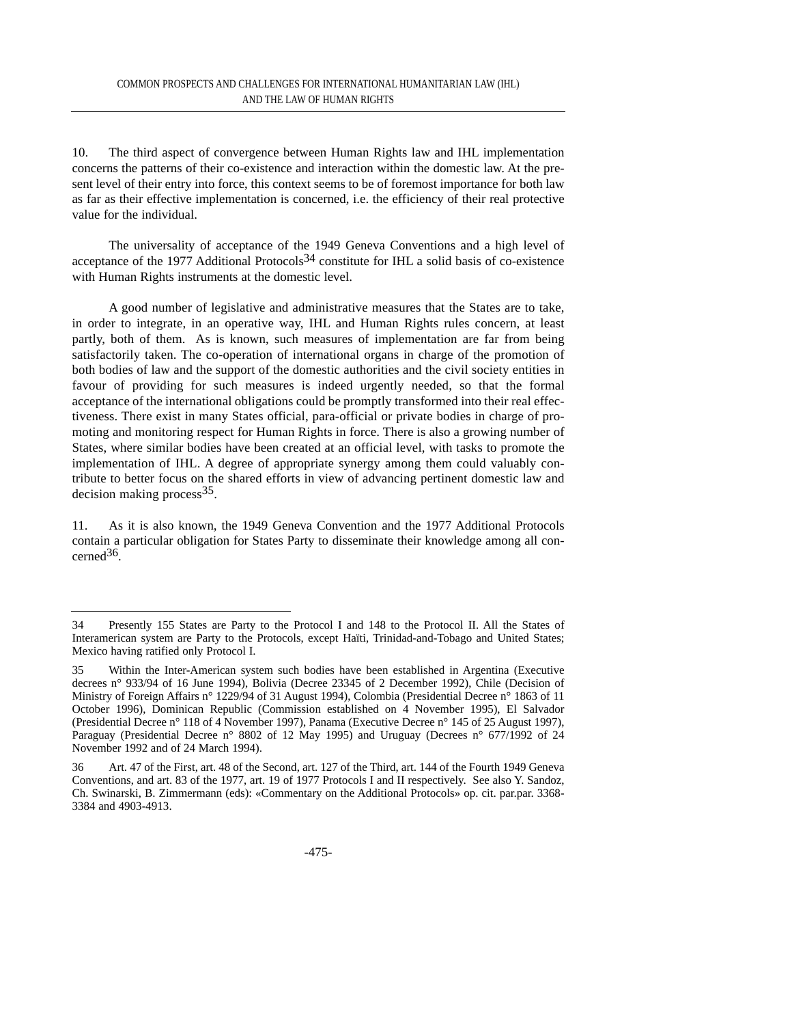10. The third aspect of convergence between Human Rights law and IHL implementation concerns the patterns of their co-existence and interaction within the domestic law. At the present level of their entry into force, this context seems to be of foremost importance for both law as far as their effective implementation is concerned, i.e. the efficiency of their real protective value for the individual.

The universality of acceptance of the 1949 Geneva Conventions and a high level of acceptance of the 1977 Additional Protocols<sup>34</sup> constitute for IHL a solid basis of co-existence with Human Rights instruments at the domestic level.

A good number of legislative and administrative measures that the States are to take, in order to integrate, in an operative way, IHL and Human Rights rules concern, at least partly, both of them. As is known, such measures of implementation are far from being satisfactorily taken. The co-operation of international organs in charge of the promotion of both bodies of law and the support of the domestic authorities and the civil society entities in favour of providing for such measures is indeed urgently needed, so that the formal acceptance of the international obligations could be promptly transformed into their real effectiveness. There exist in many States official, para-official or private bodies in charge of promoting and monitoring respect for Human Rights in force. There is also a growing number of States, where similar bodies have been created at an official level, with tasks to promote the implementation of IHL. A degree of appropriate synergy among them could valuably contribute to better focus on the shared efforts in view of advancing pertinent domestic law and decision making process  $35$ .

11. As it is also known, the 1949 Geneva Convention and the 1977 Additional Protocols contain a particular obligation for States Party to disseminate their knowledge among all concerned36.

<sup>34</sup> Presently 155 States are Party to the Protocol I and 148 to the Protocol II. All the States of Interamerican system are Party to the Protocols, except Haïti, Trinidad-and-Tobago and United States; Mexico having ratified only Protocol I.

<sup>35</sup> Within the Inter-American system such bodies have been established in Argentina (Executive decrees n° 933/94 of 16 June 1994), Bolivia (Decree 23345 of 2 December 1992), Chile (Decision of Ministry of Foreign Affairs n° 1229/94 of 31 August 1994), Colombia (Presidential Decree n° 1863 of 11 October 1996), Dominican Republic (Commission established on 4 November 1995), El Salvador (Presidential Decree n° 118 of 4 November 1997), Panama (Executive Decree n° 145 of 25 August 1997), Paraguay (Presidential Decree n° 8802 of 12 May 1995) and Uruguay (Decrees n° 677/1992 of 24 November 1992 and of 24 March 1994).

<sup>36</sup> Art. 47 of the First, art. 48 of the Second, art. 127 of the Third, art. 144 of the Fourth 1949 Geneva Conventions, and art. 83 of the 1977, art. 19 of 1977 Protocols I and II respectively. See also Y. Sandoz, Ch. Swinarski, B. Zimmermann (eds): «Commentary on the Additional Protocols» op. cit. par.par. 3368- 3384 and 4903-4913.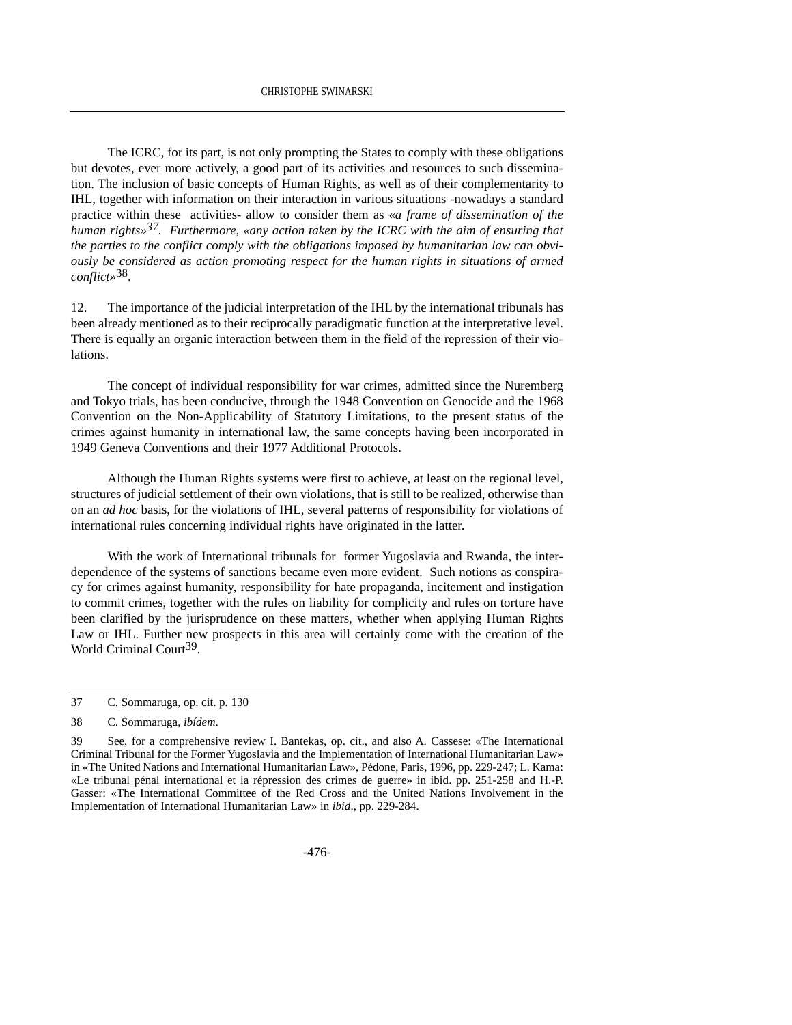The ICRC, for its part, is not only prompting the States to comply with these obligations but devotes, ever more actively, a good part of its activities and resources to such dissemination. The inclusion of basic concepts of Human Rights, as well as of their complementarity to IHL, together with information on their interaction in various situations -nowadays a standard practice within these activities- allow to consider them as «*a frame of dissemination of the human rights»37. Furthermore, «any action taken by the ICRC with the aim of ensuring that the parties to the conflict comply with the obligations imposed by humanitarian law can obviously be considered as action promoting respect for the human rights in situations of armed conflict»*38.

12. The importance of the judicial interpretation of the IHL by the international tribunals has been already mentioned as to their reciprocally paradigmatic function at the interpretative level. There is equally an organic interaction between them in the field of the repression of their violations.

The concept of individual responsibility for war crimes, admitted since the Nuremberg and Tokyo trials, has been conducive, through the 1948 Convention on Genocide and the 1968 Convention on the Non-Applicability of Statutory Limitations, to the present status of the crimes against humanity in international law, the same concepts having been incorporated in 1949 Geneva Conventions and their 1977 Additional Protocols.

Although the Human Rights systems were first to achieve, at least on the regional level, structures of judicial settlement of their own violations, that is still to be realized, otherwise than on an *ad hoc* basis, for the violations of IHL, several patterns of responsibility for violations of international rules concerning individual rights have originated in the latter.

With the work of International tribunals for former Yugoslavia and Rwanda, the interdependence of the systems of sanctions became even more evident. Such notions as conspiracy for crimes against humanity, responsibility for hate propaganda, incitement and instigation to commit crimes, together with the rules on liability for complicity and rules on torture have been clarified by the jurisprudence on these matters, whether when applying Human Rights Law or IHL. Further new prospects in this area will certainly come with the creation of the World Criminal Court<sup>39</sup>.

<sup>37</sup> C. Sommaruga, op. cit. p. 130

<sup>38</sup> C. Sommaruga, *ibídem*.

<sup>39</sup> See, for a comprehensive review I. Bantekas, op. cit., and also A. Cassese: «The International Criminal Tribunal for the Former Yugoslavia and the Implementation of International Humanitarian Law» in «The United Nations and International Humanitarian Law», Pédone, Paris, 1996, pp. 229-247; L. Kama: «Le tribunal pénal international et la répression des crimes de guerre» in ibid. pp. 251-258 and H.-P. Gasser: «The International Committee of the Red Cross and the United Nations Involvement in the Implementation of International Humanitarian Law» in *ibíd*., pp. 229-284.